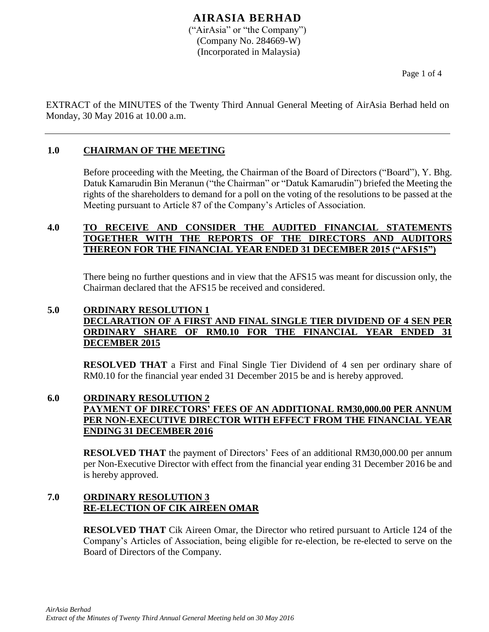## **AIRASIA BERHAD** ("AirAsia" or "the Company") (Company No. 284669-W) (Incorporated in Malaysia)

EXTRACT of the MINUTES of the Twenty Third Annual General Meeting of AirAsia Berhad held on Monday, 30 May 2016 at 10.00 a.m.

## **1.0 CHAIRMAN OF THE MEETING**

Before proceeding with the Meeting, the Chairman of the Board of Directors ("Board"), Y. Bhg. Datuk Kamarudin Bin Meranun ("the Chairman" or "Datuk Kamarudin") briefed the Meeting the rights of the shareholders to demand for a poll on the voting of the resolutions to be passed at the Meeting pursuant to Article 87 of the Company's Articles of Association.

### **4.0 TO RECEIVE AND CONSIDER THE AUDITED FINANCIAL STATEMENTS TOGETHER WITH THE REPORTS OF THE DIRECTORS AND AUDITORS THEREON FOR THE FINANCIAL YEAR ENDED 31 DECEMBER 2015 ("AFS15")**

There being no further questions and in view that the AFS15 was meant for discussion only, the Chairman declared that the AFS15 be received and considered.

#### **5.0 ORDINARY RESOLUTION 1 DECLARATION OF A FIRST AND FINAL SINGLE TIER DIVIDEND OF 4 SEN PER ORDINARY SHARE OF RM0.10 FOR THE FINANCIAL YEAR ENDED 31 DECEMBER 2015**

**RESOLVED THAT** a First and Final Single Tier Dividend of 4 sen per ordinary share of RM0.10 for the financial year ended 31 December 2015 be and is hereby approved.

## **6.0 ORDINARY RESOLUTION 2 PAYMENT OF DIRECTORS' FEES OF AN ADDITIONAL RM30,000.00 PER ANNUM PER NON-EXECUTIVE DIRECTOR WITH EFFECT FROM THE FINANCIAL YEAR ENDING 31 DECEMBER 2016**

**RESOLVED THAT** the payment of Directors' Fees of an additional RM30,000.00 per annum per Non-Executive Director with effect from the financial year ending 31 December 2016 be and is hereby approved.

## **7.0 ORDINARY RESOLUTION 3 RE-ELECTION OF CIK AIREEN OMAR**

**RESOLVED THAT** Cik Aireen Omar, the Director who retired pursuant to Article 124 of the Company's Articles of Association, being eligible for re-election, be re-elected to serve on the Board of Directors of the Company.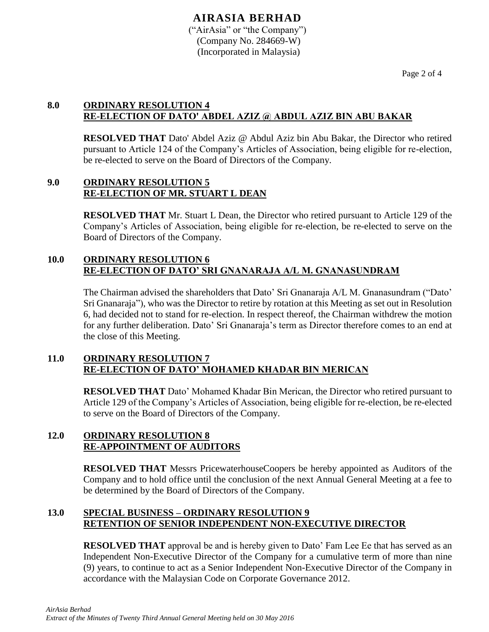# **AIRASIA BERHAD**

("AirAsia" or "the Company") (Company No. 284669-W) (Incorporated in Malaysia)

Page 2 of 4

## **8.0 ORDINARY RESOLUTION 4 RE-ELECTION OF DATO' ABDEL AZIZ @ ABDUL AZIZ BIN ABU BAKAR**

**RESOLVED THAT** Dato' Abdel Aziz @ Abdul Aziz bin Abu Bakar, the Director who retired pursuant to Article 124 of the Company's Articles of Association, being eligible for re-election, be re-elected to serve on the Board of Directors of the Company.

#### **9.0 ORDINARY RESOLUTION 5 RE-ELECTION OF MR. STUART L DEAN**

**RESOLVED THAT** Mr. Stuart L Dean, the Director who retired pursuant to Article 129 of the Company's Articles of Association, being eligible for re-election, be re-elected to serve on the Board of Directors of the Company.

#### **10.0 ORDINARY RESOLUTION 6 RE-ELECTION OF DATO' SRI GNANARAJA A/L M. GNANASUNDRAM**

The Chairman advised the shareholders that Dato' Sri Gnanaraja A/L M. Gnanasundram ("Dato' Sri Gnanaraja"), who was the Director to retire by rotation at this Meeting as set out in Resolution 6, had decided not to stand for re-election. In respect thereof, the Chairman withdrew the motion for any further deliberation. Dato' Sri Gnanaraja's term as Director therefore comes to an end at the close of this Meeting.

## **11.0 ORDINARY RESOLUTION 7 RE-ELECTION OF DATO' MOHAMED KHADAR BIN MERICAN**

**RESOLVED THAT** Dato' Mohamed Khadar Bin Merican, the Director who retired pursuant to Article 129 of the Company's Articles of Association, being eligible for re-election, be re-elected to serve on the Board of Directors of the Company.

## **12.0 ORDINARY RESOLUTION 8 RE-APPOINTMENT OF AUDITORS**

**RESOLVED THAT** Messrs PricewaterhouseCoopers be hereby appointed as Auditors of the Company and to hold office until the conclusion of the next Annual General Meeting at a fee to be determined by the Board of Directors of the Company.

## **13.0 SPECIAL BUSINESS – ORDINARY RESOLUTION 9 RETENTION OF SENIOR INDEPENDENT NON-EXECUTIVE DIRECTOR**

**RESOLVED THAT** approval be and is hereby given to Dato' Fam Lee Ee that has served as an Independent Non-Executive Director of the Company for a cumulative term of more than nine (9) years, to continue to act as a Senior Independent Non-Executive Director of the Company in accordance with the Malaysian Code on Corporate Governance 2012.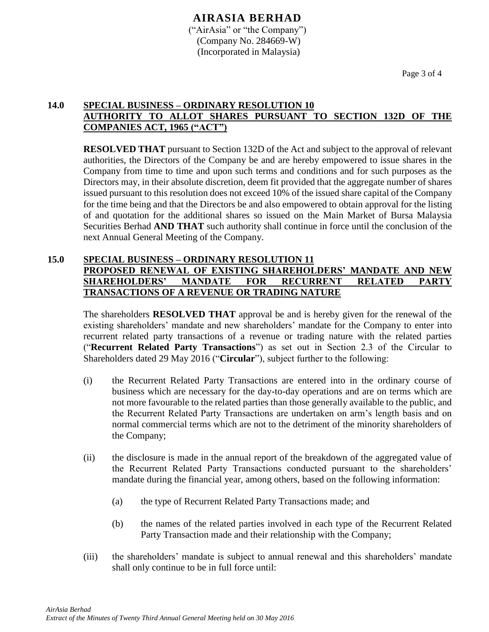## **14.0 SPECIAL BUSINESS – ORDINARY RESOLUTION 10 AUTHORITY TO ALLOT SHARES PURSUANT TO SECTION 132D OF THE COMPANIES ACT, 1965 ("ACT")**

**RESOLVED THAT** pursuant to Section 132D of the Act and subject to the approval of relevant authorities, the Directors of the Company be and are hereby empowered to issue shares in the Company from time to time and upon such terms and conditions and for such purposes as the Directors may, in their absolute discretion, deem fit provided that the aggregate number of shares issued pursuant to this resolution does not exceed 10% of the issued share capital of the Company for the time being and that the Directors be and also empowered to obtain approval for the listing of and quotation for the additional shares so issued on the Main Market of Bursa Malaysia Securities Berhad **AND THAT** such authority shall continue in force until the conclusion of the next Annual General Meeting of the Company.

## **15.0 SPECIAL BUSINESS – ORDINARY RESOLUTION 11 PROPOSED RENEWAL OF EXISTING SHAREHOLDERS' MANDATE AND NEW SHAREHOLDERS' MANDATE FOR RECURRENT RELATED PARTY TRANSACTIONS OF A REVENUE OR TRADING NATURE**

The shareholders **RESOLVED THAT** approval be and is hereby given for the renewal of the existing shareholders' mandate and new shareholders' mandate for the Company to enter into recurrent related party transactions of a revenue or trading nature with the related parties ("**Recurrent Related Party Transactions**") as set out in Section 2.3 of the Circular to Shareholders dated 29 May 2016 ("**Circular**"), subject further to the following:

- (i) the Recurrent Related Party Transactions are entered into in the ordinary course of business which are necessary for the day-to-day operations and are on terms which are not more favourable to the related parties than those generally available to the public, and the Recurrent Related Party Transactions are undertaken on arm's length basis and on normal commercial terms which are not to the detriment of the minority shareholders of the Company;
- (ii) the disclosure is made in the annual report of the breakdown of the aggregated value of the Recurrent Related Party Transactions conducted pursuant to the shareholders' mandate during the financial year, among others, based on the following information:
	- (a) the type of Recurrent Related Party Transactions made; and
	- (b) the names of the related parties involved in each type of the Recurrent Related Party Transaction made and their relationship with the Company;
- (iii) the shareholders' mandate is subject to annual renewal and this shareholders' mandate shall only continue to be in full force until: